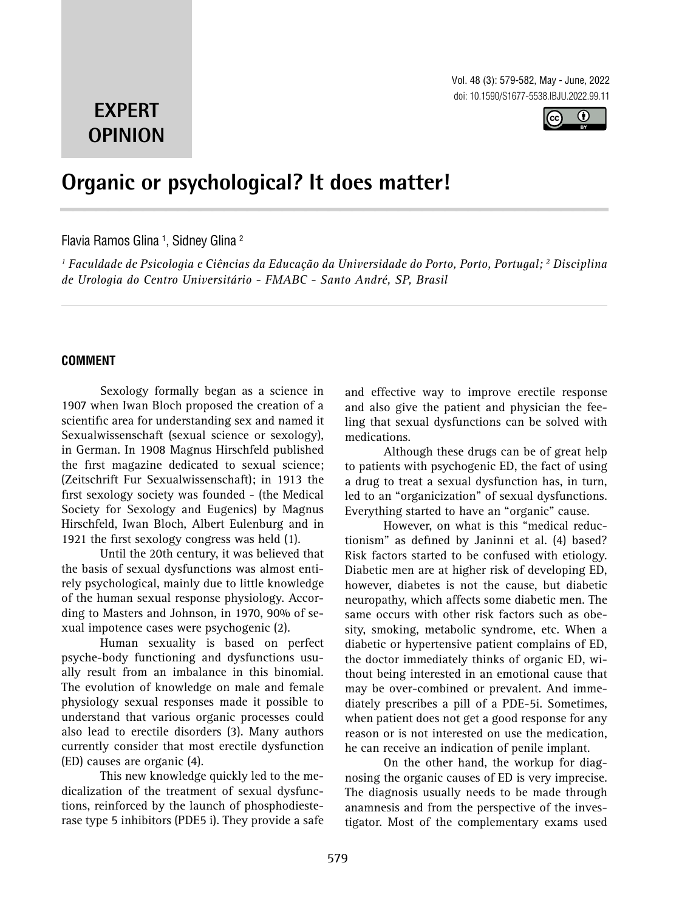Vol. 48 (3): 579-582, May - June, 2022 doi: 10.1590/S1677-5538.IBJU.2022.99.11



# **EXPERT OPINION**

## **Organic or psychological? It does matter! \_\_\_\_\_\_\_\_\_\_\_\_\_\_\_\_\_\_\_\_\_\_\_\_\_\_\_\_\_\_\_\_\_\_\_\_\_\_\_\_\_\_\_\_\_\_\_**

## Flavia Ramos Glina <sup>1</sup>, Sidney Glina <sup>2</sup>

*1 Faculdade de Psicologia e Ciências da Educação da Universidade do Porto, Porto, Portugal; 2 Disciplina de Urologia do Centro Universitário - FMABC - Santo André, SP, Brasil*

## **COMMENT**

Sexology formally began as a science in 1907 when Iwan Bloch proposed the creation of a scientific area for understanding sex and named it Sexualwissenschaft (sexual science or sexology), in German. In 1908 Magnus Hirschfeld published the first magazine dedicated to sexual science; (Zeitschrift Fur Sexualwissenschaft); in 1913 the first sexology society was founded - (the Medical Society for Sexology and Eugenics) by Magnus Hirschfeld, Iwan Bloch, Albert Eulenburg and in 1921 the first sexology congress was held (1).

Until the 20th century, it was believed that the basis of sexual dysfunctions was almost entirely psychological, mainly due to little knowledge of the human sexual response physiology. According to Masters and Johnson, in 1970, 90% of sexual impotence cases were psychogenic (2).

Human sexuality is based on perfect psyche-body functioning and dysfunctions usually result from an imbalance in this binomial. The evolution of knowledge on male and female physiology sexual responses made it possible to understand that various organic processes could also lead to erectile disorders (3). Many authors currently consider that most erectile dysfunction (ED) causes are organic (4).

This new knowledge quickly led to the medicalization of the treatment of sexual dysfunctions, reinforced by the launch of phosphodiesterase type 5 inhibitors (PDE5 i). They provide a safe

and effective way to improve erectile response and also give the patient and physician the feeling that sexual dysfunctions can be solved with medications.

Although these drugs can be of great help to patients with psychogenic ED, the fact of using a drug to treat a sexual dysfunction has, in turn, led to an "organicization" of sexual dysfunctions. Everything started to have an "organic" cause.

However, on what is this "medical reductionism" as defined by Janinni et al. (4) based? Risk factors started to be confused with etiology. Diabetic men are at higher risk of developing ED, however, diabetes is not the cause, but diabetic neuropathy, which affects some diabetic men. The same occurs with other risk factors such as obesity, smoking, metabolic syndrome, etc. When a diabetic or hypertensive patient complains of ED, the doctor immediately thinks of organic ED, without being interested in an emotional cause that may be over-combined or prevalent. And immediately prescribes a pill of a PDE-5i. Sometimes, when patient does not get a good response for any reason or is not interested on use the medication, he can receive an indication of penile implant.

On the other hand, the workup for diagnosing the organic causes of ED is very imprecise. The diagnosis usually needs to be made through anamnesis and from the perspective of the investigator. Most of the complementary exams used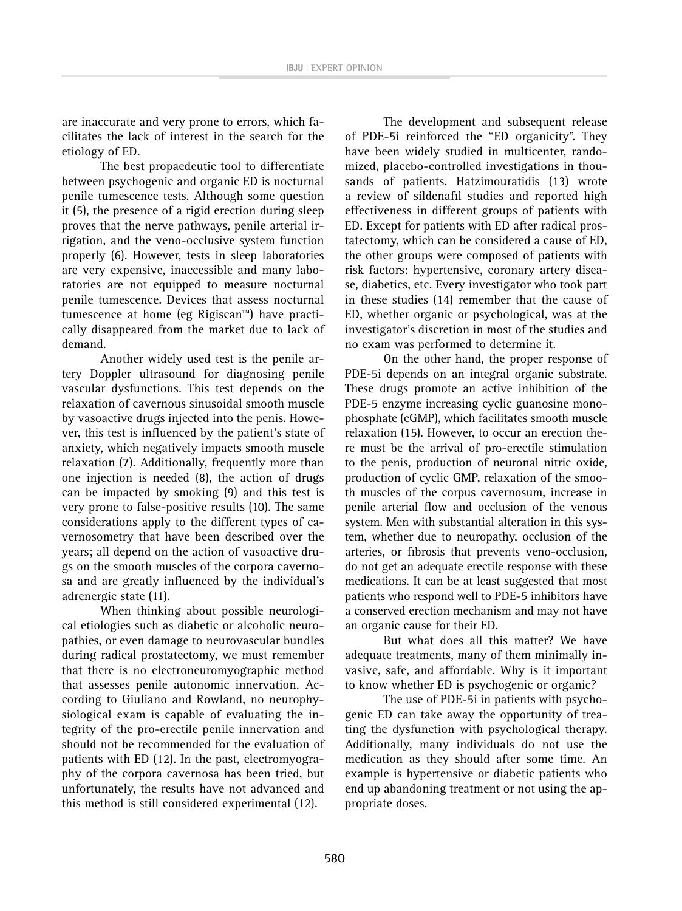are inaccurate and very prone to errors, which facilitates the lack of interest in the search for the etiology of ED.

The best propaedeutic tool to differentiate between psychogenic and organic ED is nocturnal penile tumescence tests. Although some question it (5), the presence of a rigid erection during sleep proves that the nerve pathways, penile arterial irrigation, and the veno-occlusive system function properly (6). However, tests in sleep laboratories are very expensive, inaccessible and many laboratories are not equipped to measure nocturnal penile tumescence. Devices that assess nocturnal tumescence at home (eg Rigiscan™) have practically disappeared from the market due to lack of demand.

Another widely used test is the penile artery Doppler ultrasound for diagnosing penile vascular dysfunctions. This test depends on the relaxation of cavernous sinusoidal smooth muscle by vasoactive drugs injected into the penis. However, this test is influenced by the patient's state of anxiety, which negatively impacts smooth muscle relaxation (7). Additionally, frequently more than one injection is needed (8), the action of drugs can be impacted by smoking (9) and this test is very prone to false-positive results (10). The same considerations apply to the different types of cavernosometry that have been described over the years; all depend on the action of vasoactive drugs on the smooth muscles of the corpora cavernosa and are greatly influenced by the individual's adrenergic state (11).

When thinking about possible neurological etiologies such as diabetic or alcoholic neuropathies, or even damage to neurovascular bundles during radical prostatectomy, we must remember that there is no electroneuromyographic method that assesses penile autonomic innervation. According to Giuliano and Rowland, no neurophysiological exam is capable of evaluating the integrity of the pro-erectile penile innervation and should not be recommended for the evaluation of patients with ED (12). In the past, electromyography of the corpora cavernosa has been tried, but unfortunately, the results have not advanced and this method is still considered experimental (12).

The development and subsequent release of PDE-5i reinforced the "ED organicity". They have been widely studied in multicenter, randomized, placebo-controlled investigations in thousands of patients. Hatzimouratidis (13) wrote a review of sildenafil studies and reported high effectiveness in different groups of patients with ED. Except for patients with ED after radical prostatectomy, which can be considered a cause of ED, the other groups were composed of patients with risk factors: hypertensive, coronary artery disease, diabetics, etc. Every investigator who took part in these studies (14) remember that the cause of ED, whether organic or psychological, was at the investigator's discretion in most of the studies and no exam was performed to determine it.

On the other hand, the proper response of PDE-5i depends on an integral organic substrate. These drugs promote an active inhibition of the PDE-5 enzyme increasing cyclic guanosine monophosphate (cGMP), which facilitates smooth muscle relaxation (15). However, to occur an erection there must be the arrival of pro-erectile stimulation to the penis, production of neuronal nitric oxide, production of cyclic GMP, relaxation of the smooth muscles of the corpus cavernosum, increase in penile arterial flow and occlusion of the venous system. Men with substantial alteration in this system, whether due to neuropathy, occlusion of the arteries, or fibrosis that prevents veno-occlusion, do not get an adequate erectile response with these medications. It can be at least suggested that most patients who respond well to PDE-5 inhibitors have a conserved erection mechanism and may not have an organic cause for their ED.

But what does all this matter? We have adequate treatments, many of them minimally invasive, safe, and affordable. Why is it important to know whether ED is psychogenic or organic?

The use of PDE-5i in patients with psychogenic ED can take away the opportunity of treating the dysfunction with psychological therapy. Additionally, many individuals do not use the medication as they should after some time. An example is hypertensive or diabetic patients who end up abandoning treatment or not using the appropriate doses.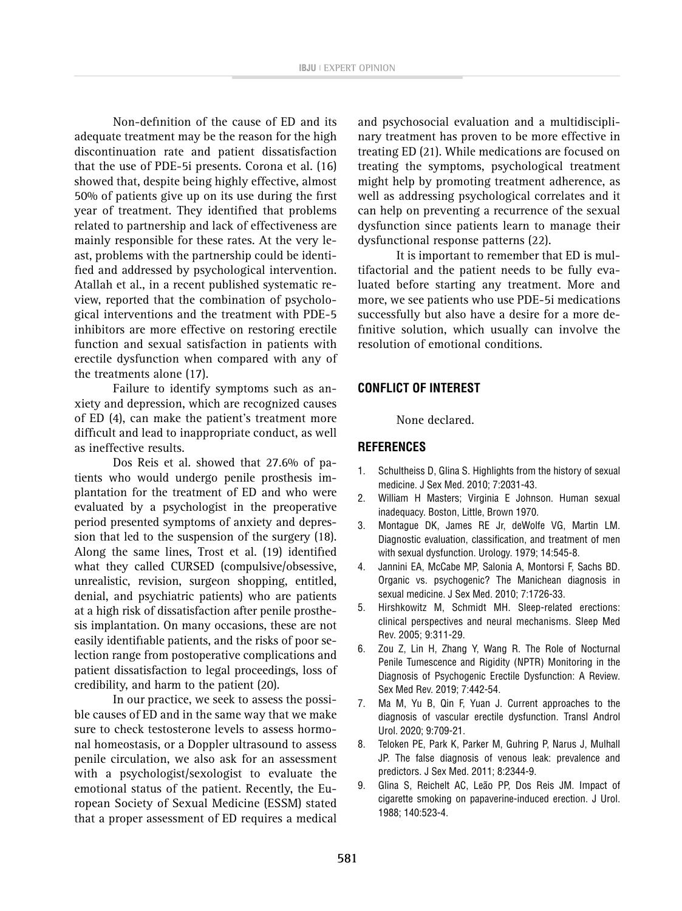Non-definition of the cause of ED and its adequate treatment may be the reason for the high discontinuation rate and patient dissatisfaction that the use of PDE-5i presents. Corona et al. (16) showed that, despite being highly effective, almost 50% of patients give up on its use during the first year of treatment. They identified that problems related to partnership and lack of effectiveness are mainly responsible for these rates. At the very least, problems with the partnership could be identified and addressed by psychological intervention. Atallah et al., in a recent published systematic review, reported that the combination of psychological interventions and the treatment with PDE-5 inhibitors are more effective on restoring erectile function and sexual satisfaction in patients with erectile dysfunction when compared with any of the treatments alone (17).

Failure to identify symptoms such as anxiety and depression, which are recognized causes of ED (4), can make the patient's treatment more difficult and lead to inappropriate conduct, as well as ineffective results.

Dos Reis et al. showed that 27.6% of patients who would undergo penile prosthesis implantation for the treatment of ED and who were evaluated by a psychologist in the preoperative period presented symptoms of anxiety and depression that led to the suspension of the surgery (18). Along the same lines, Trost et al. (19) identified what they called CURSED (compulsive/obsessive, unrealistic, revision, surgeon shopping, entitled, denial, and psychiatric patients) who are patients at a high risk of dissatisfaction after penile prosthesis implantation. On many occasions, these are not easily identifiable patients, and the risks of poor selection range from postoperative complications and patient dissatisfaction to legal proceedings, loss of credibility, and harm to the patient (20).

In our practice, we seek to assess the possible causes of ED and in the same way that we make sure to check testosterone levels to assess hormonal homeostasis, or a Doppler ultrasound to assess penile circulation, we also ask for an assessment with a psychologist/sexologist to evaluate the emotional status of the patient. Recently, the European Society of Sexual Medicine (ESSM) stated that a proper assessment of ED requires a medical

and psychosocial evaluation and a multidisciplinary treatment has proven to be more effective in treating ED (21). While medications are focused on treating the symptoms, psychological treatment might help by promoting treatment adherence, as well as addressing psychological correlates and it can help on preventing a recurrence of the sexual dysfunction since patients learn to manage their dysfunctional response patterns (22).

It is important to remember that ED is multifactorial and the patient needs to be fully evaluated before starting any treatment. More and more, we see patients who use PDE-5i medications successfully but also have a desire for a more definitive solution, which usually can involve the resolution of emotional conditions.

### **CONFLICT OF INTEREST**

None declared.

### **REFERENCES**

- 1. Schultheiss D, Glina S. Highlights from the history of sexual medicine. J Sex Med. 2010; 7:2031-43.
- 2. William H Masters; Virginia E Johnson. Human sexual inadequacy. Boston, Little, Brown 1970.
- 3. Montague DK, James RE Jr, deWolfe VG, Martin LM. Diagnostic evaluation, classification, and treatment of men with sexual dysfunction. Urology. 1979; 14:545-8.
- 4. Jannini EA, McCabe MP, Salonia A, Montorsi F, Sachs BD. Organic vs. psychogenic? The Manichean diagnosis in sexual medicine. J Sex Med. 2010; 7:1726-33.
- 5. Hirshkowitz M, Schmidt MH. Sleep-related erections: clinical perspectives and neural mechanisms. Sleep Med Rev. 2005; 9:311-29.
- 6. Zou Z, Lin H, Zhang Y, Wang R. The Role of Nocturnal Penile Tumescence and Rigidity (NPTR) Monitoring in the Diagnosis of Psychogenic Erectile Dysfunction: A Review. Sex Med Rev. 2019; 7:442-54.
- 7. Ma M, Yu B, Qin F, Yuan J. Current approaches to the diagnosis of vascular erectile dysfunction. Transl Androl Urol. 2020; 9:709-21.
- 8. Teloken PE, Park K, Parker M, Guhring P, Narus J, Mulhall JP. The false diagnosis of venous leak: prevalence and predictors. J Sex Med. 2011; 8:2344-9.
- 9. Glina S, Reichelt AC, Leão PP, Dos Reis JM. Impact of cigarette smoking on papaverine-induced erection. J Urol. 1988; 140:523-4.